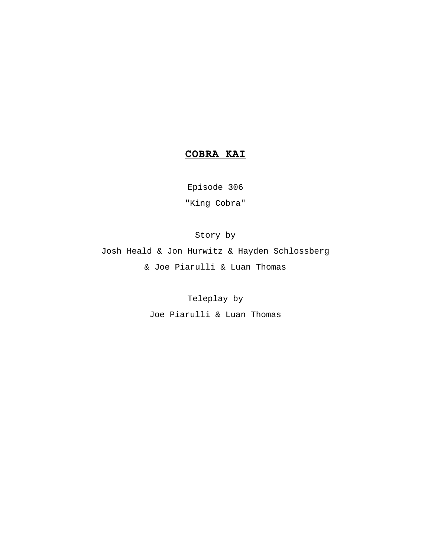# **COBRA KAI**

Episode 306 "King Cobra"

Story by

Josh Heald & Jon Hurwitz & Hayden Schlossberg & Joe Piarulli & Luan Thomas

Teleplay by

Joe Piarulli & Luan Thomas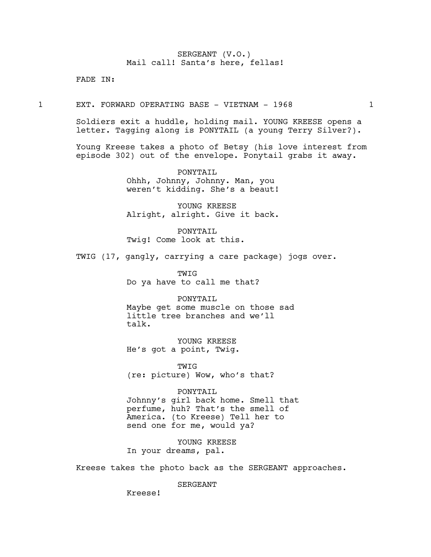## SERGEANT (V.O.) Mail call! Santa's here, fellas!

FADE IN:

1 EXT. FORWARD OPERATING BASE - VIETNAM - 1968 1

Soldiers exit a huddle, holding mail. YOUNG KREESE opens a letter. Tagging along is PONYTAIL (a young Terry Silver?).

Young Kreese takes a photo of Betsy (his love interest from episode 302) out of the envelope. Ponytail grabs it away.

> PONYTAIL Ohhh, Johnny, Johnny. Man, you weren't kidding. She's a beaut!

> YOUNG KREESE Alright, alright. Give it back.

PONYTAIL Twig! Come look at this.

TWIG (17, gangly, carrying a care package) jogs over.

TWIG Do ya have to call me that?

PONYTAIL Maybe get some muscle on those sad little tree branches and we'll talk.

YOUNG KREESE He's got a point, Twig.

**TWIG** (re: picture) Wow, who's that?

PONYTAIL Johnny's girl back home. Smell that perfume, huh? That's the smell of America. (to Kreese) Tell her to send one for me, would ya?

YOUNG KREESE In your dreams, pal.

Kreese takes the photo back as the SERGEANT approaches.

SERGEANT

Kreese!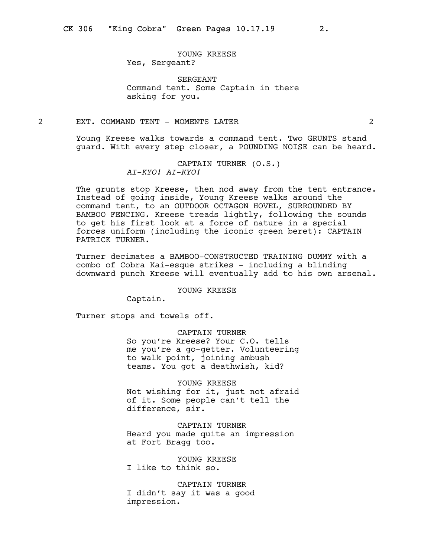## YOUNG KREESE Yes, Sergeant?

SERGEANT Command tent. Some Captain in there asking for you.

## 2 EXT. COMMAND TENT - MOMENTS LATER 2

Young Kreese walks towards a command tent. Two GRUNTS stand guard. With every step closer, a POUNDING NOISE can be heard.

> CAPTAIN TURNER (O.S.) AI-KYO! AI-KYO!

The grunts stop Kreese, then nod away from the tent entrance. Instead of going inside, Young Kreese walks around the command tent, to an OUTDOOR OCTAGON HOVEL, SURROUNDED BY BAMBOO FENCING. Kreese treads lightly, following the sounds to get his first look at a force of nature in a special forces uniform (including the iconic green beret): CAPTAIN PATRICK TURNER.

Turner decimates a BAMBOO-CONSTRUCTED TRAINING DUMMY with a combo of Cobra Kai-esque strikes - including a blinding downward punch Kreese will eventually add to his own arsenal.

YOUNG KREESE

Captain.

Turner stops and towels off.

CAPTAIN TURNER

So you're Kreese? Your C.O. tells me you're a go-getter. Volunteering to walk point, joining ambush teams. You got a deathwish, kid?

YOUNG KREESE Not wishing for it, just not afraid of it. Some people can't tell the difference, sir.

CAPTAIN TURNER Heard you made quite an impression at Fort Bragg too.

YOUNG KREESE I like to think so.

CAPTAIN TURNER I didn't say it was a good impression.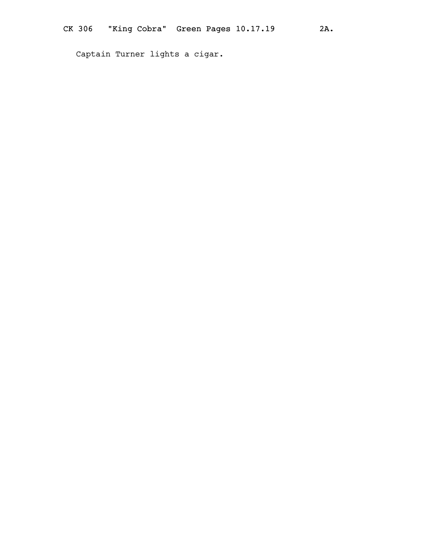Captain Turner lights a cigar.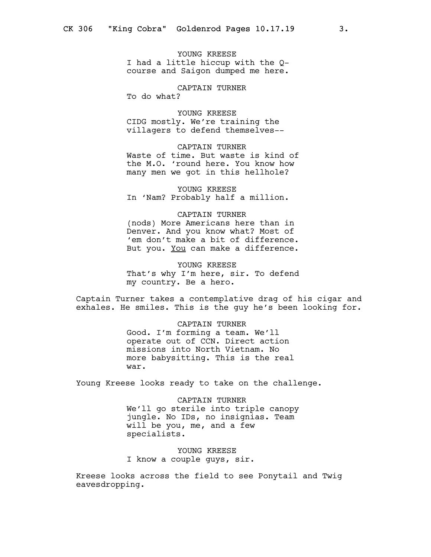YOUNG KREESE I had a little hiccup with the Qcourse and Saigon dumped me here.

CAPTAIN TURNER

To do what?

YOUNG KREESE CIDG mostly. We're training the villagers to defend themselves--

CAPTAIN TURNER Waste of time. But waste is kind of the M.O. 'round here. You know how many men we got in this hellhole?

YOUNG KREESE In 'Nam? Probably half a million.

## CAPTAIN TURNER

(nods) More Americans here than in Denver. And you know what? Most of 'em don't make a bit of difference. But you. You can make a difference.

YOUNG KREESE That's why I'm here, sir. To defend my country. Be a hero.

Captain Turner takes a contemplative drag of his cigar and exhales. He smiles. This is the guy he's been looking for.

CAPTAIN TURNER

Good. I'm forming a team. We'll operate out of CCN. Direct action missions into North Vietnam. No more babysitting. This is the real war.

Young Kreese looks ready to take on the challenge.

CAPTAIN TURNER We'll go sterile into triple canopy jungle. No IDs, no insignias. Team will be you, me, and a few specialists.

YOUNG KREESE I know a couple guys, sir.

Kreese looks across the field to see Ponytail and Twig eavesdropping.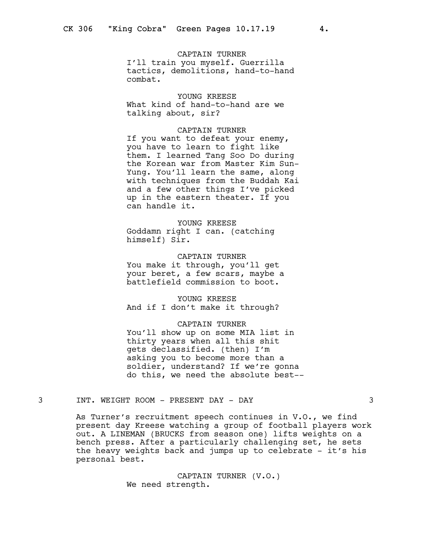## CAPTAIN TURNER

I'll train you myself. Guerrilla tactics, demolitions, hand-to-hand combat.

## YOUNG KREESE

What kind of hand-to-hand are we talking about, sir?

## CAPTAIN TURNER

If you want to defeat your enemy, you have to learn to fight like them. I learned Tang Soo Do during the Korean war from Master Kim Sun-Yung. You'll learn the same, along with techniques from the Buddah Kai and a few other things I've picked up in the eastern theater. If you can handle it.

### YOUNG KREESE

Goddamn right I can. (catching himself) Sir.

## CAPTAIN TURNER You make it through, you'll get

your beret, a few scars, maybe a battlefield commission to boot.

## YOUNG KREESE And if I don't make it through?

#### CAPTAIN TURNER

You'll show up on some MIA list in thirty years when all this shit gets declassified. (then) I'm asking you to become more than a soldier, understand? If we're gonna do this, we need the absolute best--

## 3 INT. WEIGHT ROOM - PRESENT DAY - DAY 3

As Turner's recruitment speech continues in V.O., we find present day Kreese watching a group of football players work out. A LINEMAN (BRUCKS from season one) lifts weights on a bench press. After a particularly challenging set, he sets the heavy weights back and jumps up to celebrate - it's his personal best.

> CAPTAIN TURNER (V.O.) We need strength.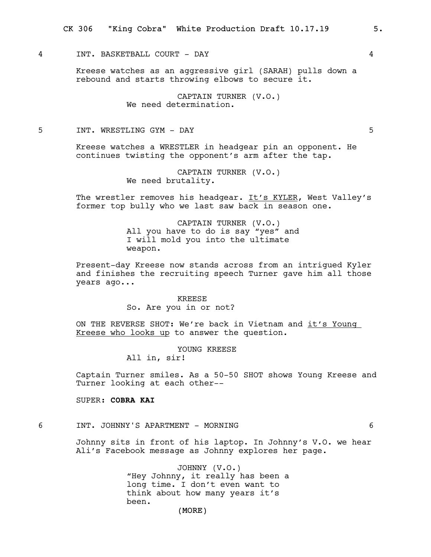## 4 INT. BASKETBALL COURT - DAY 4

Kreese watches as an aggressive girl (SARAH) pulls down a rebound and starts throwing elbows to secure it.

> CAPTAIN TURNER (V.O.) We need determination.

## 5 INT. WRESTLING GYM - DAY 5

Kreese watches a WRESTLER in headgear pin an opponent. He continues twisting the opponent's arm after the tap.

> CAPTAIN TURNER (V.O.) We need brutality.

The wrestler removes his headgear. It's KYLER, West Valley's former top bully who we last saw back in season one.

> CAPTAIN TURNER (V.O.) All you have to do is say "yes" and I will mold you into the ultimate weapon.

Present-day Kreese now stands across from an intrigued Kyler and finishes the recruiting speech Turner gave him all those years ago...

## KREESE So. Are you in or not?

ON THE REVERSE SHOT: We're back in Vietnam and it's Young Kreese who looks up to answer the question.

#### YOUNG KREESE

All in, sir!

Captain Turner smiles. As a 50-50 SHOT shows Young Kreese and Turner looking at each other--

## SUPER: COBRA KAI

#### 6 INT. JOHNNY'S APARTMENT - MORNING 6

Johnny sits in front of his laptop. In Johnny's V.O. we hear Ali's Facebook message as Johnny explores her page.

> JOHNNY (V.O.) "Hey Johnny, it really has been a long time. I don't even want to think about how many years it's been.

(MORE)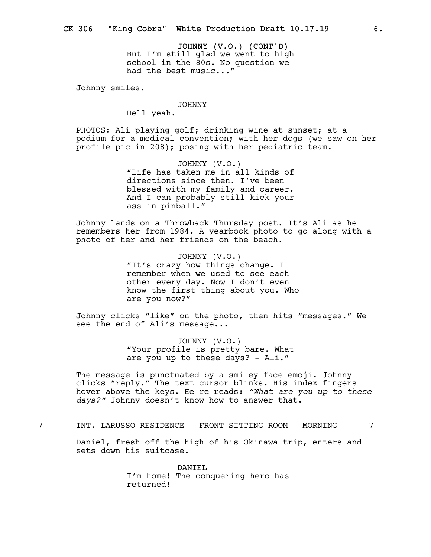JOHNNY (V.O.) (CONT'D) But I'm still glad we went to high school in the 80s. No question we had the best music..."

Johnny smiles.

## JOHNNY

Hell yeah.

PHOTOS: Ali playing golf; drinking wine at sunset; at a podium for a medical convention; with her dogs (we saw on her profile pic in 208); posing with her pediatric team.

> JOHNNY (V.O.) "Life has taken me in all kinds of directions since then. I've been blessed with my family and career. And I can probably still kick your ass in pinball."

Johnny lands on a Throwback Thursday post. It's Ali as he remembers her from 1984. A yearbook photo to go along with a photo of her and her friends on the beach.

> JOHNNY (V.O.) "It's crazy how things change. I remember when we used to see each other every day. Now I don't even know the first thing about you. Who are you now?"

Johnny clicks "like" on the photo, then hits "messages." We see the end of Ali's message...

> JOHNNY (V.O.) "Your profile is pretty bare. What are you up to these days? - Ali."

The message is punctuated by a smiley face emoji. Johnny clicks "reply." The text cursor blinks. His index fingers hover above the keys. He re-reads: "What are you up to these days?" Johnny doesn't know how to answer that.

7 INT. LARUSSO RESIDENCE - FRONT SITTING ROOM - MORNING 7

Daniel, fresh off the high of his Okinawa trip, enters and sets down his suitcase.

> DANIEL I'm home! The conquering hero has returned!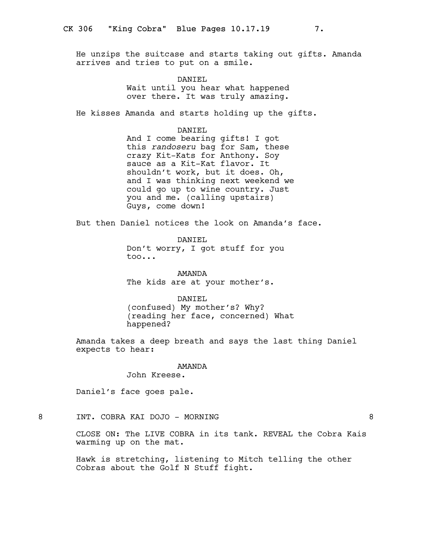He unzips the suitcase and starts taking out gifts. Amanda arrives and tries to put on a smile.

> DANIEL Wait until you hear what happened over there. It was truly amazing.

He kisses Amanda and starts holding up the gifts.

DANIEL

And I come bearing gifts! I got this randoseru bag for Sam, these crazy Kit-Kats for Anthony. Soy sauce as a Kit-Kat flavor. It shouldn't work, but it does. Oh, and I was thinking next weekend we could go up to wine country. Just you and me. (calling upstairs) Guys, come down!

But then Daniel notices the look on Amanda's face.

DANIEL Don't worry, I got stuff for you too...

AMANDA The kids are at your mother's.

DANIEL (confused) My mother's? Why? (reading her face, concerned) What happened?

Amanda takes a deep breath and says the last thing Daniel expects to hear:

AMANDA

John Kreese.

Daniel's face goes pale.

8 INT. COBRA KAI DOJO - MORNING 8

CLOSE ON: The LIVE COBRA in its tank. REVEAL the Cobra Kais warming up on the mat.

Hawk is stretching, listening to Mitch telling the other Cobras about the Golf N Stuff fight.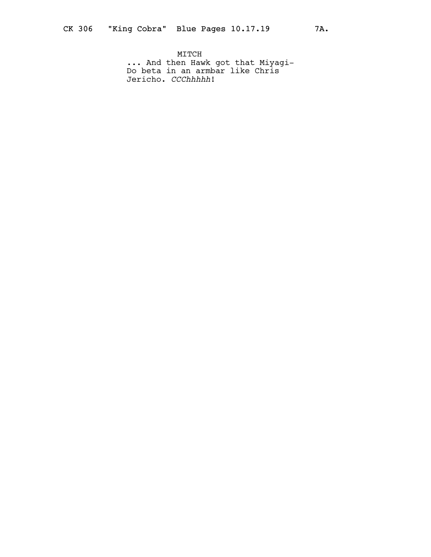MITCH ... And then Hawk got that Miyagi-Do beta in an armbar like Chris Jericho. *CCChhhhh*!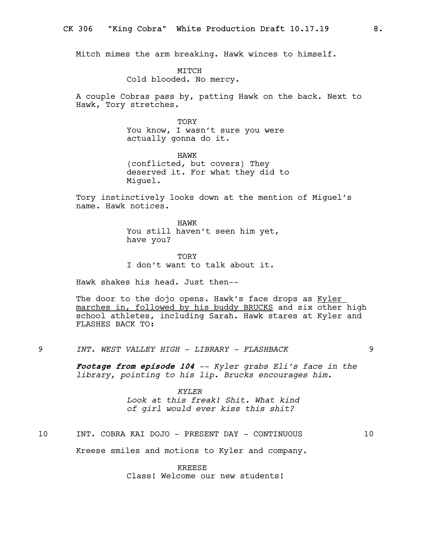Mitch mimes the arm breaking. Hawk winces to himself.

MITCH Cold blooded. No mercy.

A couple Cobras pass by, patting Hawk on the back. Next to Hawk, Tory stretches.

> TORY You know, I wasn't sure you were actually gonna do it.

HAWK (conflicted, but covers) They deserved it. For what they did to Miguel.

Tory instinctively looks down at the mention of Miguel's name. Hawk notices.

> HAWK You still haven't seen him yet, have you?

**TORY** I don't want to talk about it.

Hawk shakes his head. Just then--

The door to the dojo opens. Hawk's face drops as Kyler marches in, followed by his buddy BRUCKS and six other high school athletes, including Sarah. Hawk stares at Kyler and FLASHES BACK TO:

9 INT. WEST VALLEY HIGH - LIBRARY - FLASHBACK 9

Footage from episode 104 -- Kyler grabs Eli's face in the library, pointing to his lip. Brucks encourages him.

> KYLER Look at this freak! Shit. What kind of girl would ever kiss this shit?

10 INT. COBRA KAI DOJO - PRESENT DAY - CONTINUOUS 10

Kreese smiles and motions to Kyler and company.

KREESE

Class! Welcome our new students!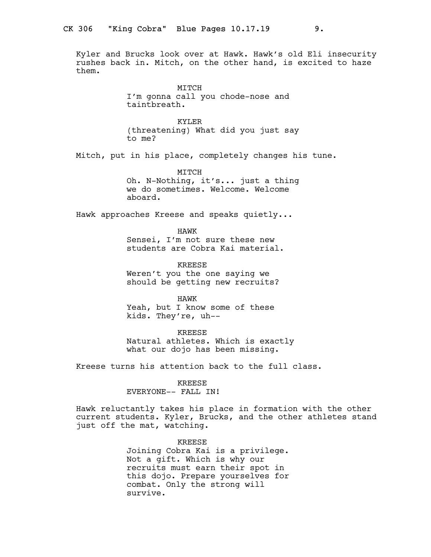Kyler and Brucks look over at Hawk. Hawk's old Eli insecurity rushes back in. Mitch, on the other hand, is excited to haze them.

> MITCH I'm gonna call you chode-nose and taintbreath.

KYLER (threatening) What did you just say to me?

Mitch, put in his place, completely changes his tune.

MITCH

Oh. N-Nothing, it's... just a thing we do sometimes. Welcome. Welcome aboard.

Hawk approaches Kreese and speaks quietly...

HAWK

Sensei, I'm not sure these new students are Cobra Kai material.

KREESE Weren't you the one saying we should be getting new recruits?

HAWK Yeah, but I know some of these kids. They're, uh--

KREESE Natural athletes. Which is exactly what our dojo has been missing.

Kreese turns his attention back to the full class.

KREESE

EVERYONE-- FALL IN!

Hawk reluctantly takes his place in formation with the other current students. Kyler, Brucks, and the other athletes stand just off the mat, watching.

> KREESE Joining Cobra Kai is a privilege. Not a gift. Which is why our recruits must earn their spot in this dojo. Prepare yourselves for combat. Only the strong will survive.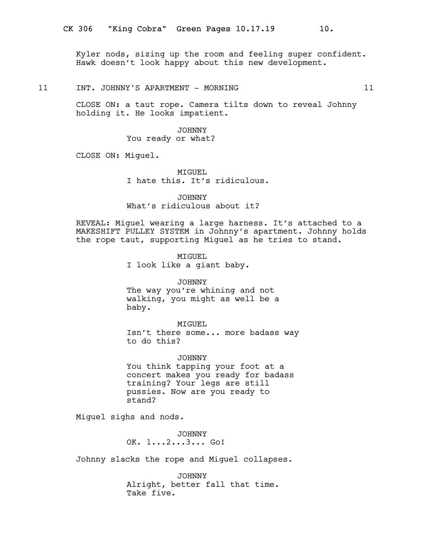Kyler nods, sizing up the room and feeling super confident. Hawk doesn't look happy about this new development.

## 11 INT. JOHNNY'S APARTMENT - MORNING 11 21

CLOSE ON: a taut rope. Camera tilts down to reveal Johnny holding it. He looks impatient.

> JOHNNY You ready or what?

CLOSE ON: Miguel.

MIGUEL I hate this. It's ridiculous.

JOHNNY What's ridiculous about it?

REVEAL: Miguel wearing a large harness. It's attached to a MAKESHIFT PULLEY SYSTEM in Johnny's apartment. Johnny holds the rope taut, supporting Miguel as he tries to stand.

> MIGUEL I look like a giant baby.

JOHNNY The way you're whining and not walking, you might as well be a baby.

MIGUEL Isn't there some... more badass way to do this?

JOHNNY You think tapping your foot at a concert makes you ready for badass training? Your legs are still pussies. Now are you ready to stand?

Miguel sighs and nods.

JOHNNY OK. 1...2...3... Go!

Johnny slacks the rope and Miguel collapses.

JOHNNY Alright, better fall that time. Take five.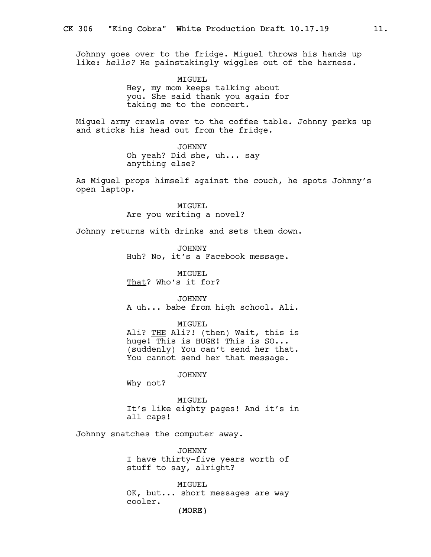Johnny goes over to the fridge. Miguel throws his hands up like: hello? He painstakingly wiggles out of the harness.

> MIGUEL Hey, my mom keeps talking about you. She said thank you again for taking me to the concert.

Miguel army crawls over to the coffee table. Johnny perks up and sticks his head out from the fridge.

> JOHNNY Oh yeah? Did she, uh... say anything else?

As Miguel props himself against the couch, he spots Johnny's open laptop.

> MIGUEL Are you writing a novel?

Johnny returns with drinks and sets them down.

JOHNNY Huh? No, it's a Facebook message.

MIGUEL That? Who's it for?

JOHNNY A uh... babe from high school. Ali.

MIGUEL

Ali? THE Ali?! (then) Wait, this is huge! This is HUGE! This is SO... (suddenly) You can't send her that. You cannot send her that message.

JOHNNY

Why not?

MTGUEL. It's like eighty pages! And it's in all caps!

Johnny snatches the computer away.

JOHNNY I have thirty-five years worth of stuff to say, alright?

MIGUEL OK, but... short messages are way cooler.

(MORE)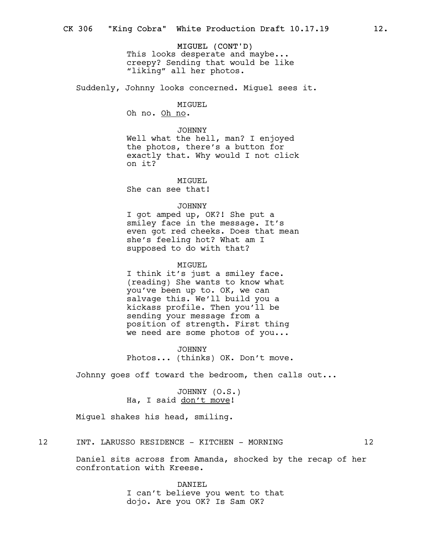MIGUEL (CONT'D) This looks desperate and maybe... creepy? Sending that would be like "liking" all her photos.

Suddenly, Johnny looks concerned. Miguel sees it.

MIGUEL Oh no. Oh no.

JOHNNY Well what the hell, man? I enjoyed the photos, there's a button for exactly that. Why would I not click on it?

MTGUEL. She can see that!

## JOHNNY

I got amped up, OK?! She put a smiley face in the message. It's even got red cheeks. Does that mean she's feeling hot? What am I supposed to do with that?

#### MIGUEL

I think it's just a smiley face. (reading) She wants to know what you've been up to. OK, we can salvage this. We'll build you a kickass profile. Then you'll be sending your message from a position of strength. First thing we need are some photos of you...

JOHNNY Photos... (thinks) OK. Don't move.

Johnny goes off toward the bedroom, then calls out...

JOHNNY (O.S.) Ha, I said don't move!

Miguel shakes his head, smiling.

12 INT. LARUSSO RESIDENCE - KITCHEN - MORNING 12

Daniel sits across from Amanda, shocked by the recap of her confrontation with Kreese.

> DANIEL I can't believe you went to that dojo. Are you OK? Is Sam OK?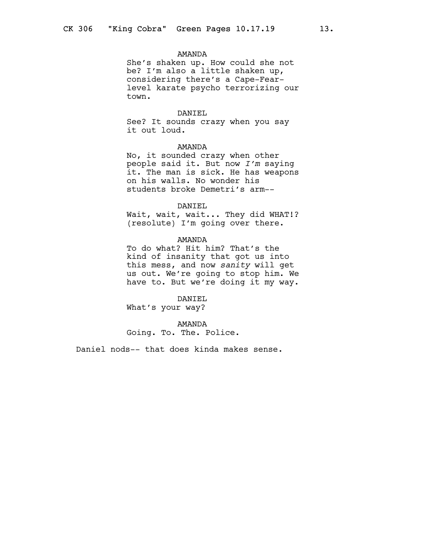### AMANDA

She's shaken up. How could she not be? I'm also a little shaken up, considering there's a Cape-Fearlevel karate psycho terrorizing our town.

## DANIEL

See? It sounds crazy when you say it out loud.

## AMANDA

No, it sounded crazy when other people said it. But now I'm saying it. The man is sick. He has weapons on his walls. No wonder his students broke Demetri's arm--

### DANIEL

Wait, wait, wait... They did WHAT!? (resolute) I'm going over there.

## AMANDA

To do what? Hit him? That's the kind of insanity that got us into this mess, and now sanity will get us out. We're going to stop him. We have to. But we're doing it my way.

#### DANIEL

What's your way?

## AMANDA

Going. To. The. Police.

Daniel nods-- that does kinda makes sense.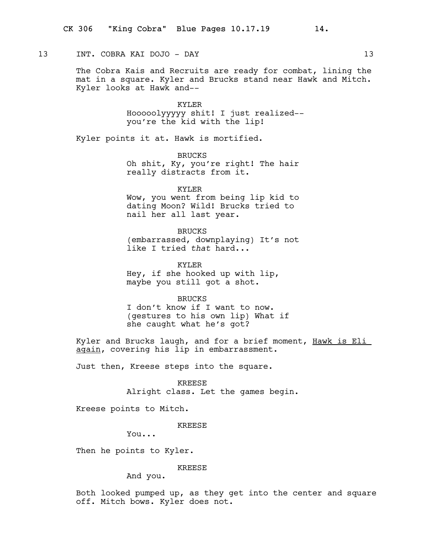## 13 INT. COBRA KAI DOJO - DAY 13

The Cobra Kais and Recruits are ready for combat, lining the mat in a square. Kyler and Brucks stand near Hawk and Mitch. Kyler looks at Hawk and--

### KYLER

Hooooolyyyyy shit! I just realized- you're the kid with the lip!

Kyler points it at. Hawk is mortified.

BRUCKS Oh shit, Ky, you're right! The hair really distracts from it.

KYLER Wow, you went from being lip kid to dating Moon? Wild! Brucks tried to nail her all last year.

BRUCKS (embarrassed, downplaying) It's not like I tried that hard...

KYLER Hey, if she hooked up with lip, maybe you still got a shot.

BRUCKS

I don't know if I want to now. (gestures to his own lip) What if she caught what he's got?

Kyler and Brucks laugh, and for a brief moment, Hawk is Eli again, covering his lip in embarrassment.

Just then, Kreese steps into the square.

KREESE Alright class. Let the games begin.

Kreese points to Mitch.

KREESE

You...

Then he points to Kyler.

KREESE

And you.

Both looked pumped up, as they get into the center and square off. Mitch bows. Kyler does not.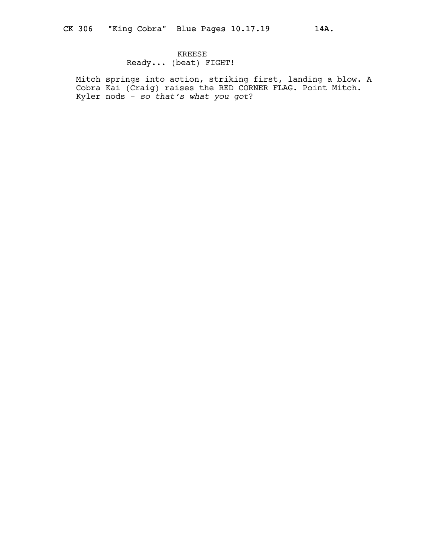## KREESE Ready... (beat) FIGHT!

Mitch springs into action, striking first, landing a blow. A Cobra Kai (Craig) raises the RED CORNER FLAG. Point Mitch. Kyler nods -  $so$  that's what you got?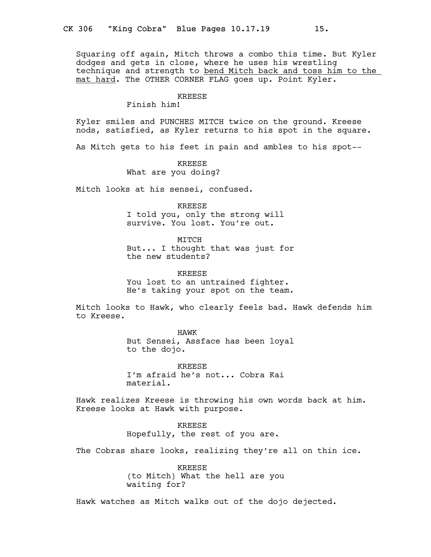Squaring off again, Mitch throws a combo this time. But Kyler dodges and gets in close, where he uses his wrestling technique and strength to bend Mitch back and toss him to the mat hard. The OTHER CORNER FLAG goes up. Point Kyler.

#### KREESE

Finish him!

Kyler smiles and PUNCHES MITCH twice on the ground. Kreese nods, satisfied, as Kyler returns to his spot in the square.

As Mitch gets to his feet in pain and ambles to his spot--

KREESE What are you doing?

Mitch looks at his sensei, confused.

KREESE I told you, only the strong will survive. You lost. You're out.

MITCH But... I thought that was just for the new students?

KREESE You lost to an untrained fighter. He's taking your spot on the team.

Mitch looks to Hawk, who clearly feels bad. Hawk defends him to Kreese.

> HAWK But Sensei, Assface has been loyal to the dojo.

KREESE I'm afraid he's not... Cobra Kai material.

Hawk realizes Kreese is throwing his own words back at him. Kreese looks at Hawk with purpose.

> KREESE Hopefully, the rest of you are.

The Cobras share looks, realizing they're all on thin ice.

KREESE (to Mitch) What the hell are you waiting for?

Hawk watches as Mitch walks out of the dojo dejected.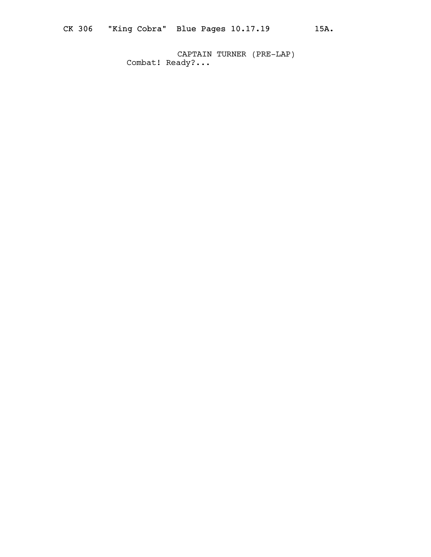CAPTAIN TURNER (PRE-LAP) Combat! Ready?...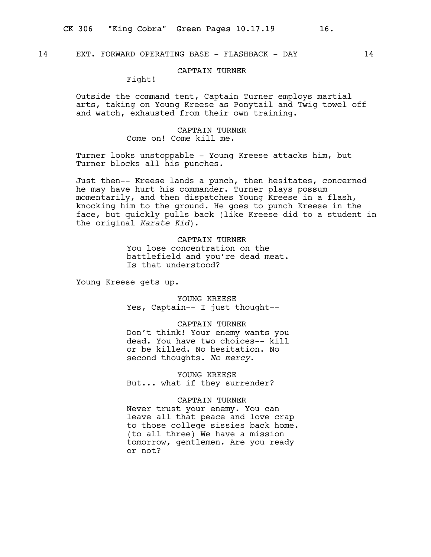## CAPTAIN TURNER

Fight!

Outside the command tent, Captain Turner employs martial arts, taking on Young Kreese as Ponytail and Twig towel off and watch, exhausted from their own training.

## CAPTAIN TURNER Come on! Come kill me.

Turner looks unstoppable - Young Kreese attacks him, but Turner blocks all his punches.

Just then-- Kreese lands a punch, then hesitates, concerned he may have hurt his commander. Turner plays possum momentarily, and then dispatches Young Kreese in a flash, knocking him to the ground. He goes to punch Kreese in the face, but quickly pulls back (like Kreese did to a student in the original Karate Kid).

## CAPTAIN TURNER

You lose concentration on the battlefield and you're dead meat. Is that understood?

Young Kreese gets up.

YOUNG KREESE Yes, Captain-- I just thought--

#### CAPTAIN TURNER

Don't think! Your enemy wants you dead. You have two choices-- kill or be killed. No hesitation. No second thoughts. No mercy.

YOUNG KREESE But... what if they surrender?

## CAPTAIN TURNER

Never trust your enemy. You can leave all that peace and love crap to those college sissies back home. (to all three) We have a mission tomorrow, gentlemen. Are you ready or not?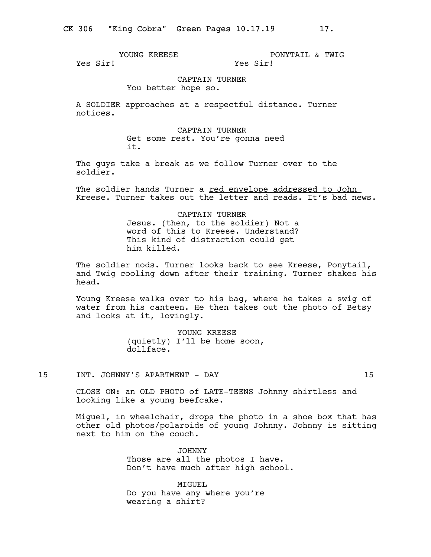YOUNG KREESE Yes Sir!

PONYTAIL & TWIG Yes Sir!

## CAPTAIN TURNER

You better hope so.

A SOLDIER approaches at a respectful distance. Turner notices.

> CAPTAIN TURNER Get some rest. You're gonna need it.

The guys take a break as we follow Turner over to the soldier.

The soldier hands Turner a red envelope addressed to John Kreese. Turner takes out the letter and reads. It's bad news.

> CAPTAIN TURNER Jesus. (then, to the soldier) Not a word of this to Kreese. Understand? This kind of distraction could get him killed.

The soldier nods. Turner looks back to see Kreese, Ponytail, and Twig cooling down after their training. Turner shakes his head.

Young Kreese walks over to his bag, where he takes a swig of water from his canteen. He then takes out the photo of Betsy and looks at it, lovingly.

> YOUNG KREESE (quietly) I'll be home soon, dollface.

15 INT. JOHNNY'S APARTMENT - DAY 15

CLOSE ON: an OLD PHOTO of LATE-TEENS Johnny shirtless and looking like a young beefcake.

Miguel, in wheelchair, drops the photo in a shoe box that has other old photos/polaroids of young Johnny. Johnny is sitting next to him on the couch.

> JOHNNY Those are all the photos I have. Don't have much after high school.

MIGUEL Do you have any where you're wearing a shirt?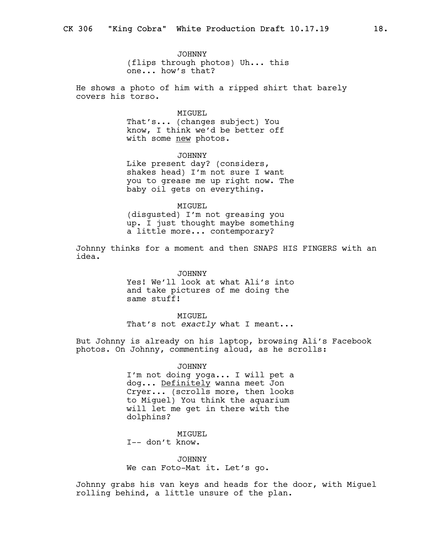JOHNNY (flips through photos) Uh... this one... how's that?

He shows a photo of him with a ripped shirt that barely covers his torso.

#### MIGUEL

That's... (changes subject) You know, I think we'd be better off with some new photos.

JOHNNY Like present day? (considers, shakes head) I'm not sure I want you to grease me up right now. The baby oil gets on everything.

MIGUEL (disgusted) I'm not greasing you up. I just thought maybe something a little more... contemporary?

Johnny thinks for a moment and then SNAPS HIS FINGERS with an idea.

> JOHNNY Yes! We'll look at what Ali's into and take pictures of me doing the same stuff!

MIGUEL That's not exactly what I meant...

But Johnny is already on his laptop, browsing Ali's Facebook photos. On Johnny, commenting aloud, as he scrolls:

> JOHNNY I'm not doing yoga... I will pet a dog... Definitely wanna meet Jon Cryer... (scrolls more, then looks to Miguel) You think the aquarium will let me get in there with the dolphins?

MIGUEL I-- don't know.

JOHNNY We can Foto-Mat it. Let's go.

Johnny grabs his van keys and heads for the door, with Miguel rolling behind, a little unsure of the plan.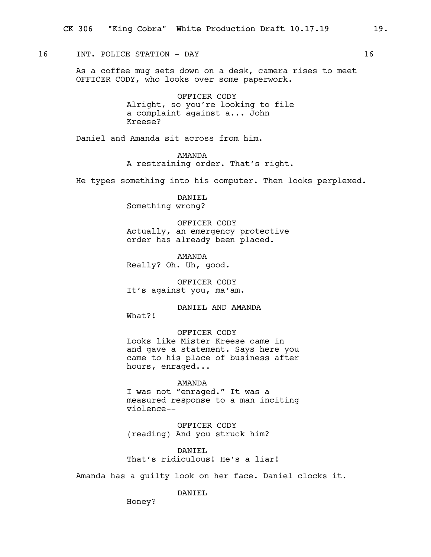## 16 INT. POLICE STATION - DAY 16

As a coffee mug sets down on a desk, camera rises to meet OFFICER CODY, who looks over some paperwork.

> OFFICER CODY Alright, so you're looking to file a complaint against a... John Kreese?

Daniel and Amanda sit across from him.

AMANDA A restraining order. That's right.

He types something into his computer. Then looks perplexed.

DANIEL Something wrong?

OFFICER CODY Actually, an emergency protective order has already been placed.

AMANDA Really? Oh. Uh, good.

OFFICER CODY It's against you, ma'am.

DANIEL AND AMANDA

What?!

OFFICER CODY Looks like Mister Kreese came in and gave a statement. Says here you came to his place of business after hours, enraged...

AMANDA I was not "enraged." It was a measured response to a man inciting violence--

OFFICER CODY (reading) And you struck him?

DANIEL That's ridiculous! He's a liar!

Amanda has a guilty look on her face. Daniel clocks it.

DANTEL.

Honey?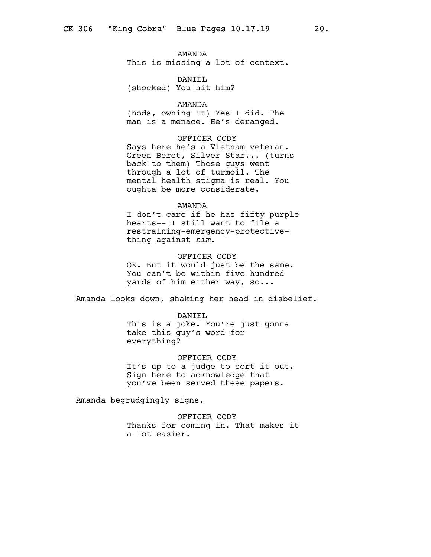### AMANDA

This is missing a lot of context.

DANIEL (shocked) You hit him?

#### AMANDA

(nods, owning it) Yes I did. The man is a menace. He's deranged.

## OFFICER CODY

Says here he's a Vietnam veteran. Green Beret, Silver Star... (turns back to them) Those guys went through a lot of turmoil. The mental health stigma is real. You oughta be more considerate.

#### AMANDA

I don't care if he has fifty purple hearts-- I still want to file a restraining-emergency-protectivething against him.

#### OFFICER CODY

OK. But it would just be the same. You can't be within five hundred yards of him either way, so...

Amanda looks down, shaking her head in disbelief.

#### DANIEL

This is a joke. You're just gonna take this guy's word for everything?

#### OFFICER CODY

It's up to a judge to sort it out. Sign here to acknowledge that you've been served these papers.

Amanda begrudgingly signs.

OFFICER CODY Thanks for coming in. That makes it a lot easier.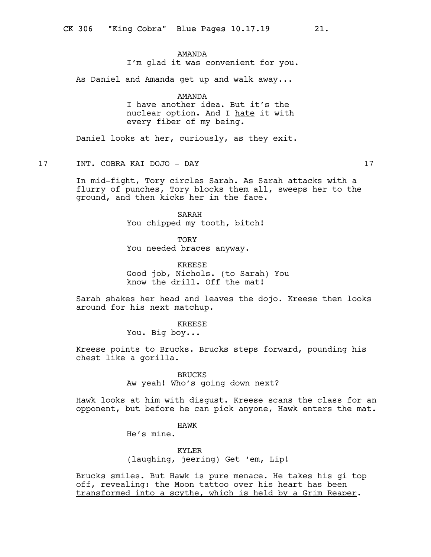## AMANDA

I'm glad it was convenient for you.

As Daniel and Amanda get up and walk away...

### AMANDA

I have another idea. But it's the nuclear option. And I hate it with every fiber of my being.

Daniel looks at her, curiously, as they exit.

17 INT. COBRA KAI DOJO - DAY 17

In mid-fight, Tory circles Sarah. As Sarah attacks with a flurry of punches, Tory blocks them all, sweeps her to the ground, and then kicks her in the face.

> SARAH You chipped my tooth, bitch!

**TORY** You needed braces anyway.

KREESE Good job, Nichols. (to Sarah) You know the drill. Off the mat!

Sarah shakes her head and leaves the dojo. Kreese then looks around for his next matchup.

> KREESE You. Big boy...

Kreese points to Brucks. Brucks steps forward, pounding his chest like a gorilla.

> BRUCKS Aw yeah! Who's going down next?

Hawk looks at him with disgust. Kreese scans the class for an opponent, but before he can pick anyone, Hawk enters the mat.

## HAWK

He's mine.

KYLER (laughing, jeering) Get 'em, Lip!

Brucks smiles. But Hawk is pure menace. He takes his gi top off, revealing: the Moon tattoo over his heart has been transformed into a scythe, which is held by a Grim Reaper.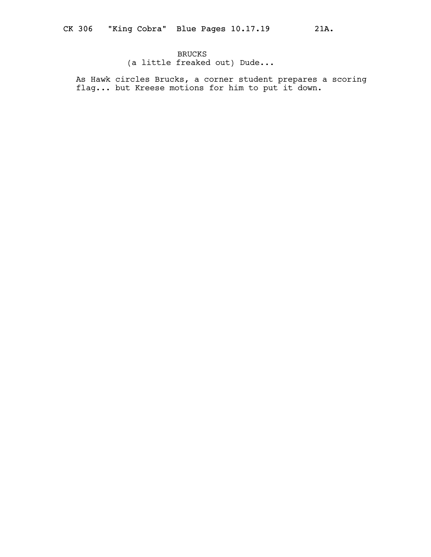(a little freaked out) Dude...

As Hawk circles Brucks, a corner student prepares a scoring flag... but Kreese motions for him to put it down.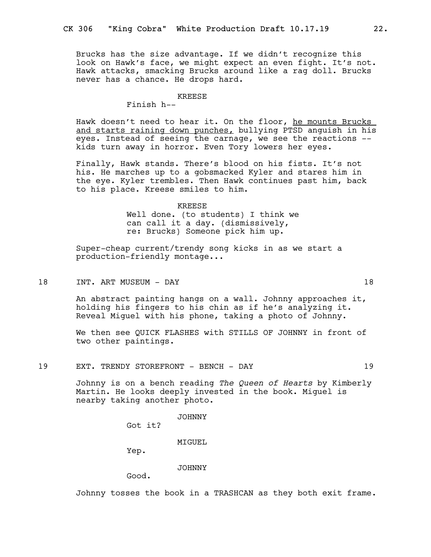Brucks has the size advantage. If we didn't recognize this look on Hawk's face, we might expect an even fight. It's not. Hawk attacks, smacking Brucks around like a rag doll. Brucks never has a chance. He drops hard.

### KREESE

Finish h--

Hawk doesn't need to hear it. On the floor, he mounts Brucks and starts raining down punches, bullying PTSD anguish in his eyes. Instead of seeing the carnage, we see the reactions - kids turn away in horror. Even Tory lowers her eyes.

Finally, Hawk stands. There's blood on his fists. It's not his. He marches up to a gobsmacked Kyler and stares him in the eye. Kyler trembles. Then Hawk continues past him, back to his place. Kreese smiles to him.

KREESE

Well done. (to students) I think we can call it a day. (dismissively, re: Brucks) Someone pick him up.

Super-cheap current/trendy song kicks in as we start a production-friendly montage...

18 INT. ART MUSEUM - DAY 18

An abstract painting hangs on a wall. Johnny approaches it, holding his fingers to his chin as if he's analyzing it. Reveal Miguel with his phone, taking a photo of Johnny.

We then see QUICK FLASHES with STILLS OF JOHNNY in front of two other paintings.

19 EXT. TRENDY STOREFRONT - BENCH - DAY 19

Johnny is on a bench reading The Queen of Hearts by Kimberly Martin. He looks deeply invested in the book. Miguel is nearby taking another photo.

JOHNNY

Got it?

MIGUEL.

Yep.

JOHNNY

Good.

Johnny tosses the book in a TRASHCAN as they both exit frame.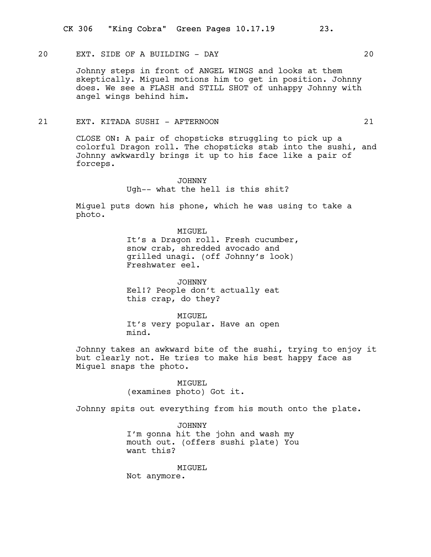## 20 EXT. SIDE OF A BUILDING - DAY 20

Johnny steps in front of ANGEL WINGS and looks at them skeptically. Miguel motions him to get in position. Johnny does. We see a FLASH and STILL SHOT of unhappy Johnny with angel wings behind him.

## 21 EXT. KITADA SUSHI - AFTERNOON 21

CLOSE ON: A pair of chopsticks struggling to pick up a colorful Dragon roll. The chopsticks stab into the sushi, and Johnny awkwardly brings it up to his face like a pair of forceps.

> JOHNNY Ugh-- what the hell is this shit?

Miguel puts down his phone, which he was using to take a photo.

> MIGUEL It's a Dragon roll. Fresh cucumber, snow crab, shredded avocado and grilled unagi. (off Johnny's look) Freshwater eel.

JOHNNY Eel!? People don't actually eat this crap, do they?

MIGUEL It's very popular. Have an open mind.

Johnny takes an awkward bite of the sushi, trying to enjoy it but clearly not. He tries to make his best happy face as Miguel snaps the photo.

> MIGUEL (examines photo) Got it.

Johnny spits out everything from his mouth onto the plate.

JOHNNY I'm gonna hit the john and wash my mouth out. (offers sushi plate) You want this?

MIGUEL

Not anymore.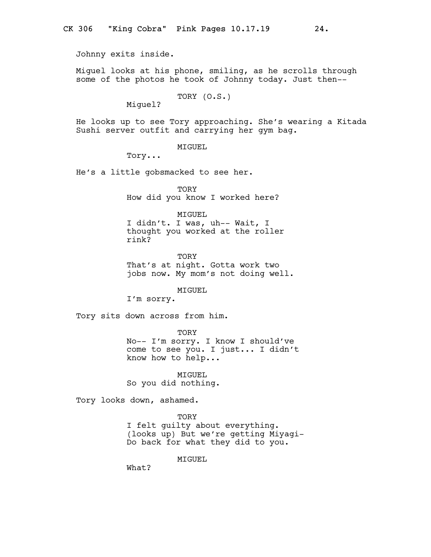Johnny exits inside.

Miguel looks at his phone, smiling, as he scrolls through some of the photos he took of Johnny today. Just then--

TORY (O.S.)

Miguel?

He looks up to see Tory approaching. She's wearing a Kitada Sushi server outfit and carrying her gym bag.

MIGUEL

Tory...

He's a little gobsmacked to see her.

**TORY** How did you know I worked here?

MIGUEL

I didn't. I was, uh-- Wait, I thought you worked at the roller rink?

**TORY** That's at night. Gotta work two jobs now. My mom's not doing well.

MIGUEL

I'm sorry.

Tory sits down across from him.

**TORY** No-- I'm sorry. I know I should've come to see you. I just... I didn't

MIGUEL So you did nothing.

know how to help...

Tory looks down, ashamed.

**TORY** I felt guilty about everything. (looks up) But we're getting Miyagi-Do back for what they did to you.

MTGUEL.

What?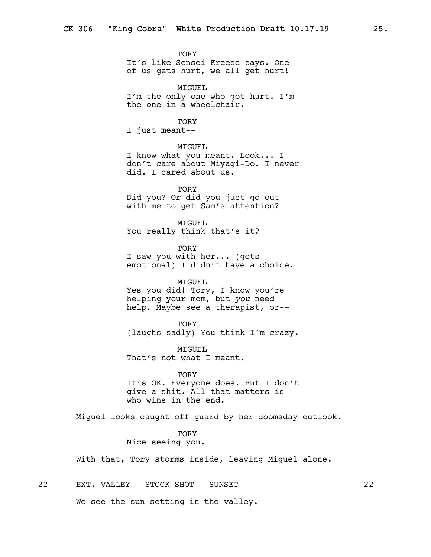**TORY** It's like Sensei Kreese says. One of us gets hurt, we all get hurt!

MIGUEL I'm the only one who got hurt. I'm the one in a wheelchair.

## TORY

I just meant--

## MIGUEL

I know what you meant. Look... I don't care about Miyagi-Do. I never did. I cared about us.

TORY Did you? Or did you just go out with me to get Sam's attention?

MIGUEL You really think that's it?

**TORY** I saw you with her... (gets emotional) I didn't have a choice.

#### MIGUEL

Yes you did! Tory, I know you're helping your mom, but you need help. Maybe see a therapist, or--

#### **TORY**

(laughs sadly) You think I'm crazy.

MIGUEL That's not what I meant.

#### **TORY**

It's OK. Everyone does. But I don't give a shit. All that matters is who wins in the end.

Miguel looks caught off guard by her doomsday outlook.

## **TORY** Nice seeing you.

With that, Tory storms inside, leaving Miguel alone.

22 EXT. VALLEY - STOCK SHOT - SUNSET 22

We see the sun setting in the valley.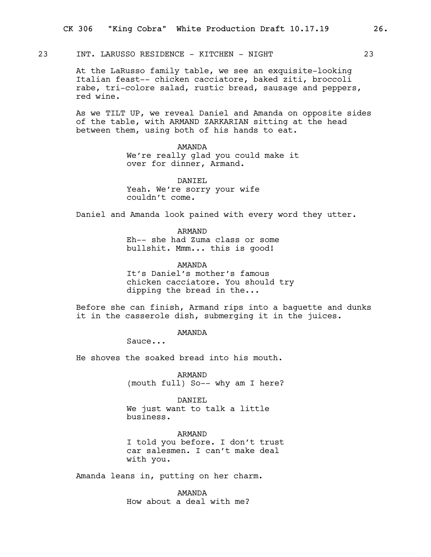23 INT. LARUSSO RESIDENCE - KITCHEN - NIGHT 23

At the LaRusso family table, we see an exquisite-looking Italian feast-- chicken cacciatore, baked ziti, broccoli rabe, tri-colore salad, rustic bread, sausage and peppers, red wine.

As we TILT UP, we reveal Daniel and Amanda on opposite sides of the table, with ARMAND ZARKARIAN sitting at the head between them, using both of his hands to eat.

> AMANDA We're really glad you could make it over for dinner, Armand.

DANTEL. Yeah. We're sorry your wife couldn't come.

Daniel and Amanda look pained with every word they utter.

ARMAND Eh-- she had Zuma class or some bullshit. Mmm... this is good!

AMANDA It's Daniel's mother's famous chicken cacciatore. You should try dipping the bread in the...

Before she can finish, Armand rips into a baguette and dunks it in the casserole dish, submerging it in the juices.

AMANDA

Sauce...

He shoves the soaked bread into his mouth.

ARMAND (mouth full) So-- why am I here?

DANIEL We just want to talk a little business.

ARMAND I told you before. I don't trust car salesmen. I can't make deal with you.

Amanda leans in, putting on her charm.

AMANDA How about a deal with me?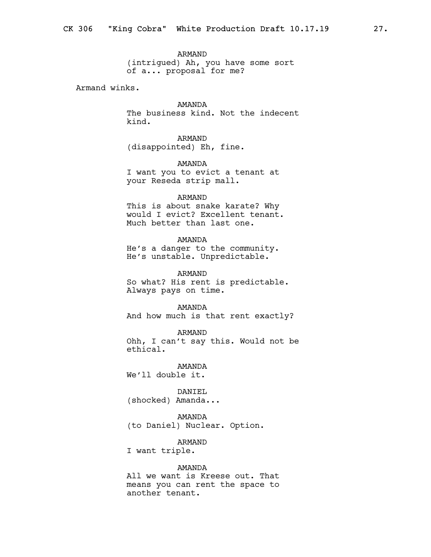ARMAND (intrigued) Ah, you have some sort of a... proposal for me?

Armand winks.

AMANDA The business kind. Not the indecent kind.

ARMAND (disappointed) Eh, fine.

AMANDA I want you to evict a tenant at your Reseda strip mall.

## ARMAND

This is about snake karate? Why would I evict? Excellent tenant. Much better than last one.

AMANDA

He's a danger to the community. He's unstable. Unpredictable.

ARMAND So what? His rent is predictable. Always pays on time.

AMANDA And how much is that rent exactly?

ARMAND Ohh, I can't say this. Would not be ethical.

AMANDA We'll double it.

DANIEL (shocked) Amanda...

AMANDA (to Daniel) Nuclear. Option.

ARMAND

I want triple.

### AMANDA

All we want is Kreese out. That means you can rent the space to another tenant.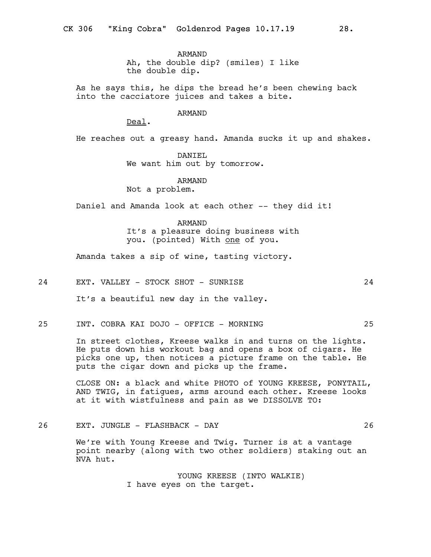ARMAND Ah, the double dip? (smiles) I like the double dip.

As he says this, he dips the bread he's been chewing back into the cacciatore juices and takes a bite.

## ARMAND

Deal.

He reaches out a greasy hand. Amanda sucks it up and shakes.

DANIEL We want him out by tomorrow.

## ARMAND

Not a problem.

Daniel and Amanda look at each other -- they did it!

# ARMAND

It's a pleasure doing business with you. (pointed) With one of you.

Amanda takes a sip of wine, tasting victory.

### 24 EXT. VALLEY - STOCK SHOT - SUNRISE 24

It's a beautiful new day in the valley.

25 INT. COBRA KAI DOJO - OFFICE - MORNING 25

In street clothes, Kreese walks in and turns on the lights. He puts down his workout bag and opens a box of cigars. He picks one up, then notices a picture frame on the table. He puts the cigar down and picks up the frame.

CLOSE ON: a black and white PHOTO of YOUNG KREESE, PONYTAIL, AND TWIG, in fatigues, arms around each other. Kreese looks at it with wistfulness and pain as we DISSOLVE TO:

26 EXT. JUNGLE - FLASHBACK - DAY 26

We're with Young Kreese and Twig. Turner is at a vantage point nearby (along with two other soldiers) staking out an NVA hut.

> YOUNG KREESE (INTO WALKIE) I have eyes on the target.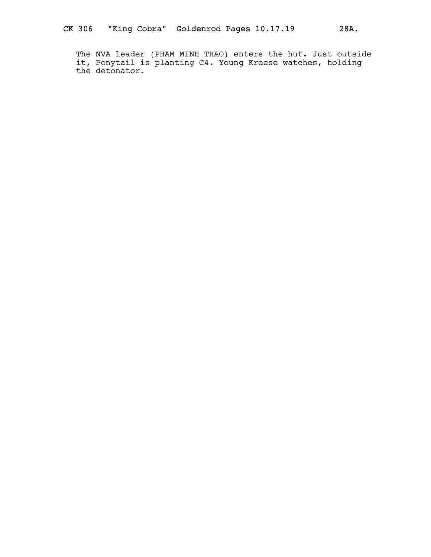The NVA leader (PHAM MINH THAO) enters the hut. Just outside it, Ponytail is planting C4. Young Kreese watches, holding the detonator.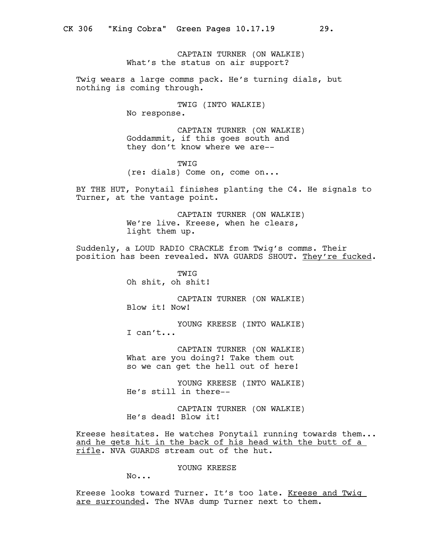CAPTAIN TURNER (ON WALKIE) What's the status on air support?

Twig wears a large comms pack. He's turning dials, but nothing is coming through.

TWIG (INTO WALKIE)

No response.

CAPTAIN TURNER (ON WALKIE) Goddammit, if this goes south and they don't know where we are--

TWIG (re: dials) Come on, come on...

BY THE HUT, Ponytail finishes planting the C4. He signals to Turner, at the vantage point.

> CAPTAIN TURNER (ON WALKIE) We're live. Kreese, when he clears, light them up.

Suddenly, a LOUD RADIO CRACKLE from Twig's comms. Their position has been revealed. NVA GUARDS SHOUT. They're fucked.

> **TWIG** Oh shit, oh shit!

CAPTAIN TURNER (ON WALKIE) Blow it! Now!

YOUNG KREESE (INTO WALKIE) I can't...

CAPTAIN TURNER (ON WALKIE) What are you doing?! Take them out so we can get the hell out of here!

YOUNG KREESE (INTO WALKIE) He's still in there--

CAPTAIN TURNER (ON WALKIE) He's dead! Blow it!

Kreese hesitates. He watches Ponytail running towards them... and he gets hit in the back of his head with the butt of a rifle. NVA GUARDS stream out of the hut.

YOUNG KREESE

No...

Kreese looks toward Turner. It's too late. Kreese and Twig are surrounded. The NVAs dump Turner next to them.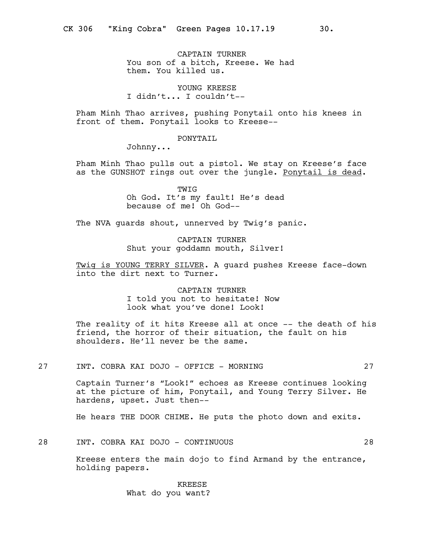CAPTAIN TURNER You son of a bitch, Kreese. We had them. You killed us.

YOUNG KREESE I didn't... I couldn't--

Pham Minh Thao arrives, pushing Ponytail onto his knees in front of them. Ponytail looks to Kreese--

PONYTAIL

Johnny...

Pham Minh Thao pulls out a pistol. We stay on Kreese's face as the GUNSHOT rings out over the jungle. Ponytail is dead.

> TWIG Oh God. It's my fault! He's dead because of me! Oh God--

The NVA quards shout, unnerved by Twig's panic.

CAPTAIN TURNER Shut your goddamn mouth, Silver!

Twig is YOUNG TERRY SILVER. A guard pushes Kreese face-down into the dirt next to Turner.

> CAPTAIN TURNER I told you not to hesitate! Now look what you've done! Look!

The reality of it hits Kreese all at once -- the death of his friend, the horror of their situation, the fault on his shoulders. He'll never be the same.

27 INT. COBRA KAI DOJO - OFFICE - MORNING 27

Captain Turner's "Look!" echoes as Kreese continues looking at the picture of him, Ponytail, and Young Terry Silver. He hardens, upset. Just then--

He hears THE DOOR CHIME. He puts the photo down and exits.

28 INT. COBRA KAI DOJO - CONTINUOUS 28

Kreese enters the main dojo to find Armand by the entrance, holding papers.

> KREESE What do you want?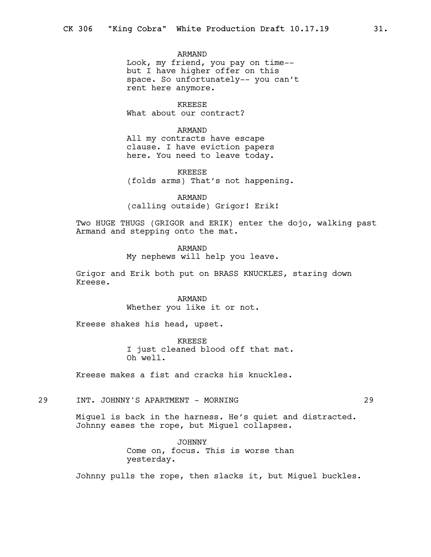ARMAND Look, my friend, you pay on time- but I have higher offer on this space. So unfortunately-- you can't rent here anymore.

KREESE What about our contract?

ARMAND

All my contracts have escape clause. I have eviction papers here. You need to leave today.

KREESE (folds arms) That's not happening.

ARMAND (calling outside) Grigor! Erik!

Two HUGE THUGS (GRIGOR and ERIK) enter the dojo, walking past Armand and stepping onto the mat.

> ARMAND My nephews will help you leave.

Grigor and Erik both put on BRASS KNUCKLES, staring down Kreese.

> ARMAND Whether you like it or not.

Kreese shakes his head, upset.

KREESE I just cleaned blood off that mat. Oh well.

Kreese makes a fist and cracks his knuckles.

## 29 INT. JOHNNY'S APARTMENT - MORNING 29

Miguel is back in the harness. He's quiet and distracted. Johnny eases the rope, but Miguel collapses.

> JOHNNY Come on, focus. This is worse than yesterday.

Johnny pulls the rope, then slacks it, but Miguel buckles.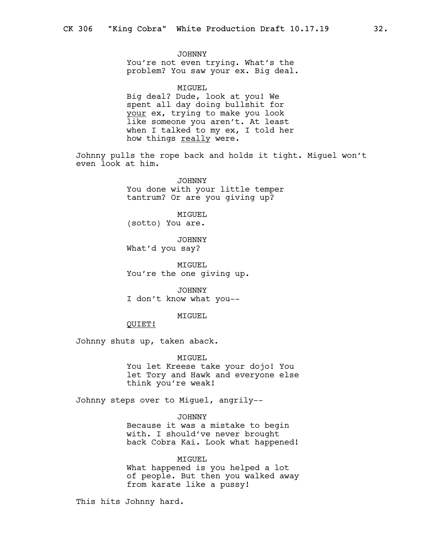JOHNNY You're not even trying. What's the problem? You saw your ex. Big deal.

MIGUEL Big deal? Dude, look at you! We spent all day doing bullshit for your ex, trying to make you look like someone you aren't. At least when I talked to my ex, I told her how things really were.

Johnny pulls the rope back and holds it tight. Miguel won't even look at him.

> JOHNNY You done with your little temper tantrum? Or are you giving up?

MIGUEL (sotto) You are.

JOHNNY What'd you say?

MIGUEL You're the one giving up.

JOHNNY I don't know what you--

#### MIGUEL

QUIET!

Johnny shuts up, taken aback.

MIGUEL

You let Kreese take your dojo! You let Tory and Hawk and everyone else think you're weak!

Johnny steps over to Miguel, angrily--

#### JOHNNY

Because it was a mistake to begin with. I should've never brought back Cobra Kai. Look what happened!

MIGUEL What happened is you helped a lot of people. But then you walked away from karate like a pussy!

This hits Johnny hard.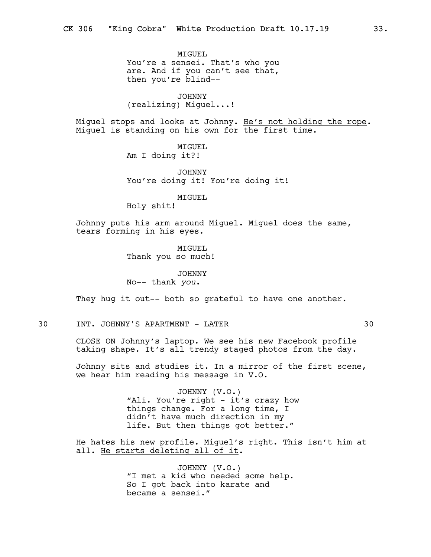MIGUEL You're a sensei. That's who you are. And if you can't see that, then you're blind--

JOHNNY (realizing) Miguel...!

Miquel stops and looks at Johnny. He's not holding the rope. Miguel is standing on his own for the first time.

> MIGUEL Am I doing it?!

JOHNNY You're doing it! You're doing it!

MIGUEL

Holy shit!

Johnny puts his arm around Miguel. Miguel does the same, tears forming in his eyes.

> MIGUEL Thank you so much!

JOHNNY No-- thank you.

They hug it out-- both so grateful to have one another.

30 INT. JOHNNY'S APARTMENT - LATER 30

CLOSE ON Johnny's laptop. We see his new Facebook profile taking shape. It's all trendy staged photos from the day.

Johnny sits and studies it. In a mirror of the first scene, we hear him reading his message in V.O.

> JOHNNY (V.O.) "Ali. You're right - it's crazy how things change. For a long time, I didn't have much direction in my life. But then things got better."

He hates his new profile. Miguel's right. This isn't him at all. He starts deleting all of it.

> JOHNNY (V.O.) "I met a kid who needed some help. So I got back into karate and became a sensei."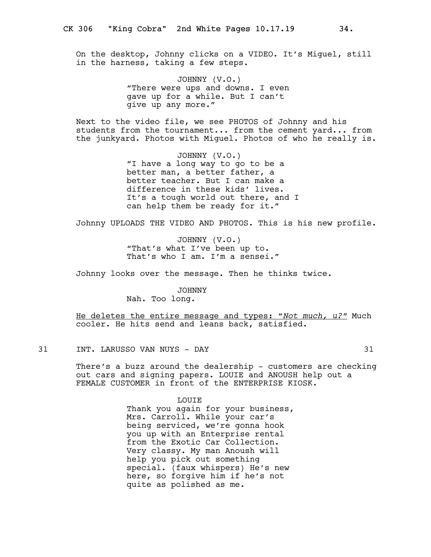On the desktop, Johnny clicks on a VIDEO. It's Miguel, still in the harness, taking a few steps.

> JOHNNY (V.O.) "There were ups and downs. I even gave up for a while. But I can't give up any more."

Next to the video file, we see PHOTOS of Johnny and his students from the tournament... from the cement yard... from the junkyard. Photos with Miguel. Photos of who he really is.

> JOHNNY (V.O.) "I have a long way to go to be a better man, a better father, a better teacher. But I can make a difference in these kids' lives. It's a tough world out there, and I can help them be ready for it."

Johnny UPLOADS THE VIDEO AND PHOTOS. This is his new profile.

JOHNNY (V.O.) "That's what I've been up to. That's who I am. I'm a sensei."

Johnny looks over the message. Then he thinks twice.

JOHNNY Nah. Too long.

He deletes the entire message and types: "Not much, u?" Much cooler. He hits send and leans back, satisfied.

31 INT. LARUSSO VAN NUYS - DAY 31

There's a buzz around the dealership - customers are checking out cars and signing papers. LOUIE and ANOUSH help out a FEMALE CUSTOMER in front of the ENTERPRISE KIOSK.

> LOUIE Thank you again for your business, Mrs. Carroll. While your car's being serviced, we're gonna hook you up with an Enterprise rental from the Exotic Car Collection. Very classy. My man Anoush will help you pick out something special. (faux whispers) He's new here, so forgive him if he's not quite as polished as me.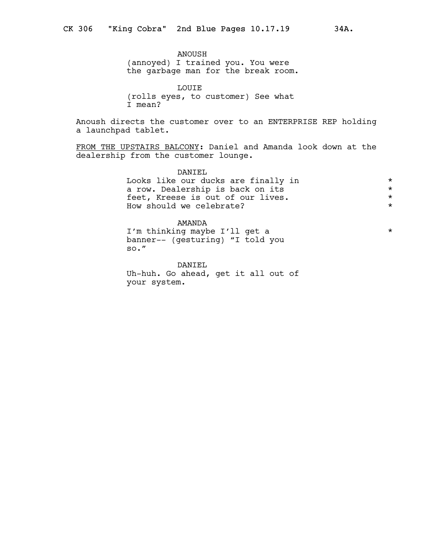ANOUSH (annoyed) I trained you. You were the garbage man for the break room.

LOUIE (rolls eyes, to customer) See what I mean?

Anoush directs the customer over to an ENTERPRISE REP holding a launchpad tablet.

FROM THE UPSTAIRS BALCONY: Daniel and Amanda look down at the dealership from the customer lounge.

> DANIEL Looks like our ducks are finally in  $\star$ <br>a row, Dealership is back on its a row. Dealership is back on its<br>
> feet. Kreese is out of our lives. feet, Kreese is out of our lives.<br>How should we celebrate? How should we celebrate?

> AMANDA I'm thinking maybe I'll get a  $*$ banner-- (gesturing) "I told you so."

DANIEL Uh-huh. Go ahead, get it all out of your system.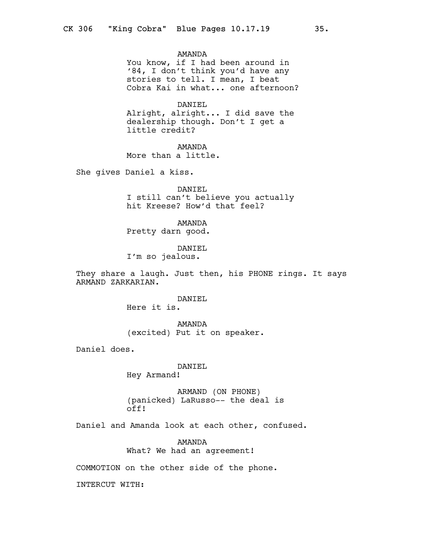AMANDA

You know, if I had been around in '84, I don't think you'd have any stories to tell. I mean, I beat Cobra Kai in what... one afternoon?

DANIEL

Alright, alright... I did save the dealership though. Don't I get a little credit?

AMANDA

More than a little.

She gives Daniel a kiss.

DANIEL I still can't believe you actually hit Kreese? How'd that feel?

AMANDA Pretty darn good.

DANIEL I'm so jealous.

They share a laugh. Just then, his PHONE rings. It says ARMAND ZARKARIAN.

DANIEL

Here it is.

AMANDA (excited) Put it on speaker.

Daniel does.

DANIEL

Hey Armand!

ARMAND (ON PHONE) (panicked) LaRusso-- the deal is off!

Daniel and Amanda look at each other, confused.

AMANDA What? We had an agreement!

COMMOTION on the other side of the phone.

INTERCUT WITH: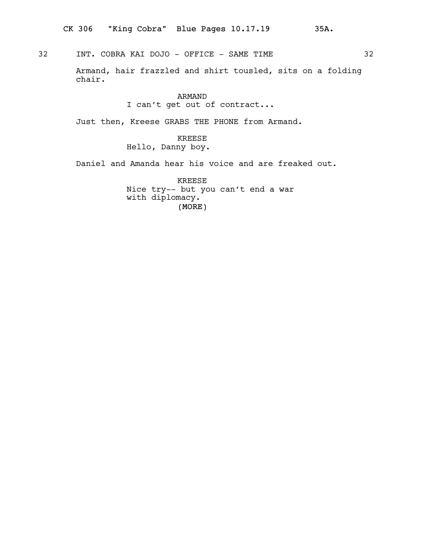32 INT. COBRA KAI DOJO - OFFICE - SAME TIME

Armand, hair frazzled and shirt tousled, sits on a folding chair.

## ARMAND I can't get out of contract...

Just then, Kreese GRABS THE PHONE from Armand.

KREESE Hello, Danny boy.

Daniel and Amanda hear his voice and are freaked out.

(MORE) KREESE Nice try-- but you can't end a war with diplomacy.